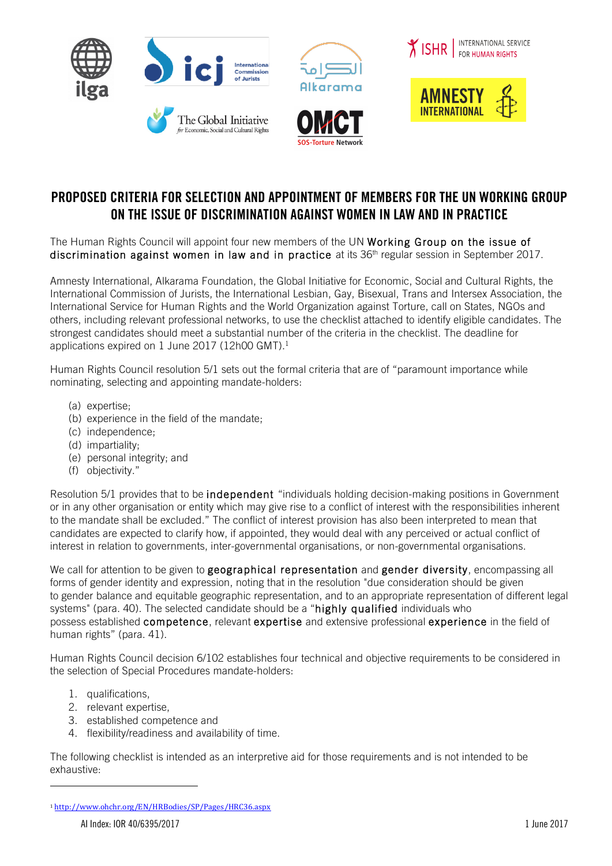







# PROPOSED CRITERIA FOR SELECTION AND APPOINTMENT OF MEMBERS FOR THE UN WORKING GROUP ON THE ISSUE OF DISCRIMINATION AGAINST WOMEN IN LAW AND IN PRACTICE

The Human Rights Council will appoint four new members of the UN Working Group on the issue of discrimination against women in law and in practice at its 36<sup>th</sup> regular session in September 2017.

Amnesty International, Alkarama Foundation, the Global Initiative for Economic, Social and Cultural Rights, the International Commission of Jurists, the International Lesbian, Gay, Bisexual, Trans and Intersex Association, the International Service for Human Rights and the World Organization against Torture, call on States, NGOs and others, including relevant professional networks, to use the checklist attached to identify eligible candidates. The strongest candidates should meet a substantial number of the criteria in the checklist. The deadline for applications expired on 1 June 2017 (12h00 GMT).<sup>1</sup>

Human Rights Council resolution 5/1 sets out the formal criteria that are of "paramount importance while nominating, selecting and appointing mandate-holders:

- (a) expertise;
- (b) experience in the field of the mandate;
- (c) independence;
- (d) impartiality;
- (e) personal integrity; and
- (f) objectivity."

Resolution 5/1 provides that to be independent "individuals holding decision-making positions in Government or in any other organisation or entity which may give rise to a conflict of interest with the responsibilities inherent to the mandate shall be excluded." The conflict of interest provision has also been interpreted to mean that candidates are expected to clarify how, if appointed, they would deal with any perceived or actual conflict of interest in relation to governments, inter-governmental organisations, or non-governmental organisations.

We call for attention to be given to geographical representation and gender diversity, encompassing all forms of gender identity and expression, noting that in the resolution "due consideration should be given to gender balance and equitable geographic representation, and to an appropriate representation of different legal systems" (para. 40). The selected candidate should be a "highly qualified individuals who possess established competence, relevant expertise and extensive professional experience in the field of human rights" (para. 41).

Human Rights Council decision 6/102 establishes four technical and objective requirements to be considered in the selection of Special Procedures mandate-holders:

- 1. qualifications,
- 2. relevant expertise,
- 3. established competence and
- 4. flexibility/readiness and availability of time.

The following checklist is intended as an interpretive aid for those requirements and is not intended to be exhaustive:

 

<sup>1</sup> http://www.ohchr.org/EN/HRBodies/SP/Pages/HRC36.aspx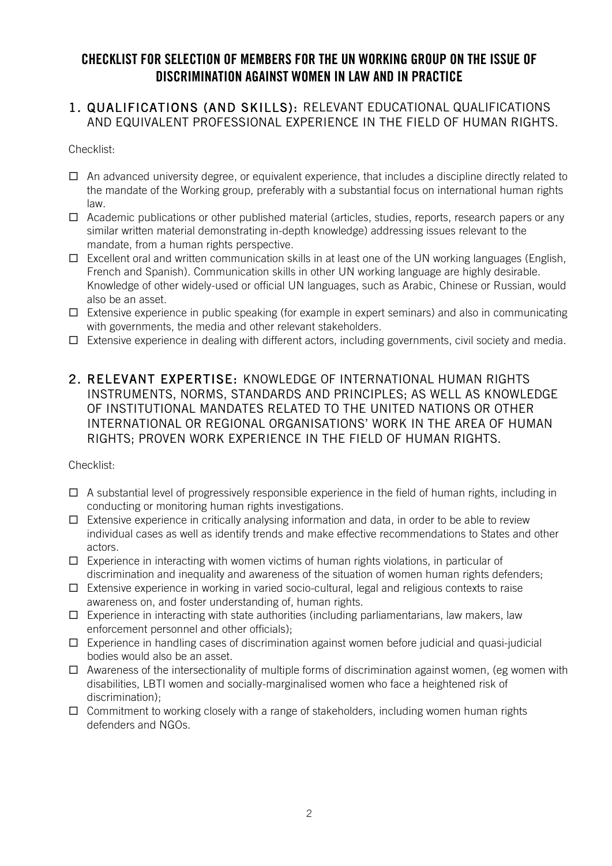# CHECKLIST FOR SELECTION OF MEMBERS FOR THE UN WORKING GROUP ON THE ISSUE OF DISCRIMINATION AGAINST WOMEN IN LAW AND IN PRACTICE

### 1. QUALIFICATIONS (AND SKILLS): RELEVANT EDUCATIONAL QUALIFICATIONS AND EQUIVALENT PROFESSIONAL EXPERIENCE IN THE FIELD OF HUMAN RIGHTS.

#### Checklist:

- $\Box$  An advanced university degree, or equivalent experience, that includes a discipline directly related to the mandate of the Working group, preferably with a substantial focus on international human rights law.
- $\Box$  Academic publications or other published material (articles, studies, reports, research papers or any similar written material demonstrating in-depth knowledge) addressing issues relevant to the mandate, from a human rights perspective.
- $\Box$  Excellent oral and written communication skills in at least one of the UN working languages (English, French and Spanish). Communication skills in other UN working language are highly desirable. Knowledge of other widely-used or official UN languages, such as Arabic, Chinese or Russian, would also be an asset.
- $\square$  Extensive experience in public speaking (for example in expert seminars) and also in communicating with governments, the media and other relevant stakeholders.
- $\Box$  Extensive experience in dealing with different actors, including governments, civil society and media.
- 2. RELEVANT EXPERTISE: KNOWLEDGE OF INTERNATIONAL HUMAN RIGHTS INSTRUMENTS, NORMS, STANDARDS AND PRINCIPLES; AS WELL AS KNOWLEDGE OF INSTITUTIONAL MANDATES RELATED TO THE UNITED NATIONS OR OTHER INTERNATIONAL OR REGIONAL ORGANISATIONS' WORK IN THE AREA OF HUMAN RIGHTS; PROVEN WORK EXPERIENCE IN THE FIELD OF HUMAN RIGHTS.

#### Checklist:

- $\Box$  A substantial level of progressively responsible experience in the field of human rights, including in conducting or monitoring human rights investigations.
- $\square$  Extensive experience in critically analysing information and data, in order to be able to review individual cases as well as identify trends and make effective recommendations to States and other actors.
- $\square$  Experience in interacting with women victims of human rights violations, in particular of discrimination and inequality and awareness of the situation of women human rights defenders;
- $\Box$  Extensive experience in working in varied socio-cultural, legal and religious contexts to raise awareness on, and foster understanding of, human rights.
- $\square$  Experience in interacting with state authorities (including parliamentarians, law makers, law enforcement personnel and other officials);
- $\Box$  Experience in handling cases of discrimination against women before judicial and quasi-judicial bodies would also be an asset.
- $\square$  Awareness of the intersectionality of multiple forms of discrimination against women, (eg women with disabilities, LBTI women and socially-marginalised women who face a heightened risk of discrimination);
- $\Box$  Commitment to working closely with a range of stakeholders, including women human rights defenders and NGOs.